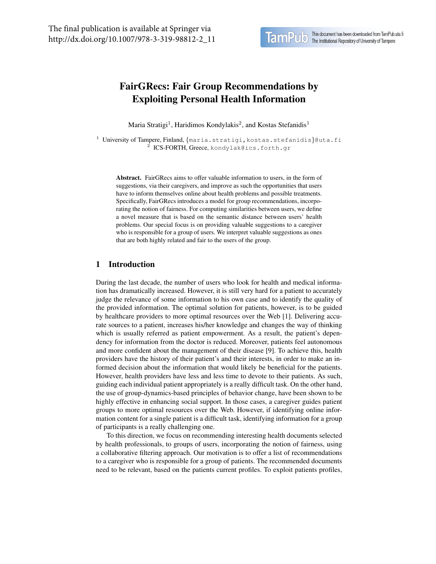# FairGRecs: Fair Group Recommendations by Exploiting Personal Health Information

Maria Stratigi<sup>1</sup>, Haridimos Kondylakis<sup>2</sup>, and Kostas Stefanidis<sup>1</sup>

<sup>1</sup> University of Tampere, Finland, {maria.stratigi, kostas.stefanidis}@uta.fi 2 ICS-FORTH, Greece, kondylak@ics.forth.gr

Abstract. FairGRecs aims to offer valuable information to users, in the form of suggestions, via their caregivers, and improve as such the opportunities that users have to inform themselves online about health problems and possible treatments. Specifically, FairGRecs introduces a model for group recommendations, incorporating the notion of fairness. For computing similarities between users, we define a novel measure that is based on the semantic distance between users' health problems. Our special focus is on providing valuable suggestions to a caregiver who is responsible for a group of users. We interpret valuable suggestions as ones that are both highly related and fair to the users of the group.

### 1 Introduction

During the last decade, the number of users who look for health and medical information has dramatically increased. However, it is still very hard for a patient to accurately judge the relevance of some information to his own case and to identify the quality of the provided information. The optimal solution for patients, however, is to be guided by healthcare providers to more optimal resources over the Web [1]. Delivering accurate sources to a patient, increases his/her knowledge and changes the way of thinking which is usually referred as patient empowerment. As a result, the patient's dependency for information from the doctor is reduced. Moreover, patients feel autonomous and more confident about the management of their disease [9]. To achieve this, health providers have the history of their patient's and their interests, in order to make an informed decision about the information that would likely be beneficial for the patients. However, health providers have less and less time to devote to their patients. As such, guiding each individual patient appropriately is a really difficult task. On the other hand, the use of group-dynamics-based principles of behavior change, have been shown to be highly effective in enhancing social support. In those cases, a caregiver guides patient groups to more optimal resources over the Web. However, if identifying online information content for a single patient is a difficult task, identifying information for a group of participants is a really challenging one.

To this direction, we focus on recommending interesting health documents selected by health professionals, to groups of users, incorporating the notion of fairness, using a collaborative filtering approach. Our motivation is to offer a list of recommendations to a caregiver who is responsible for a group of patients. The recommended documents need to be relevant, based on the patients current profiles. To exploit patients profiles,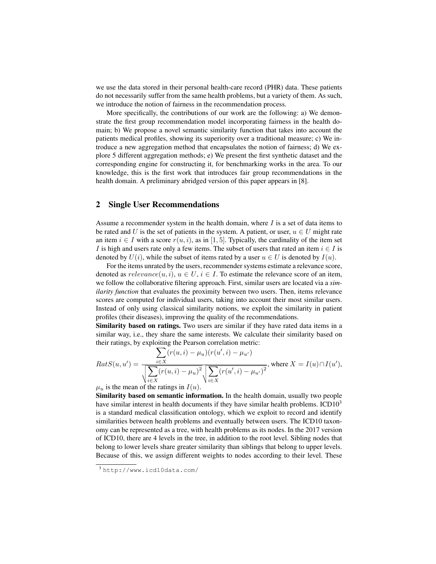we use the data stored in their personal health-care record (PHR) data. These patients do not necessarily suffer from the same health problems, but a variety of them. As such, we introduce the notion of fairness in the recommendation process.

More specifically, the contributions of our work are the following: a) We demonstrate the first group recommendation model incorporating fairness in the health domain; b) We propose a novel semantic similarity function that takes into account the patients medical profiles, showing its superiority over a traditional measure; c) We introduce a new aggregation method that encapsulates the notion of fairness; d) We explore 5 different aggregation methods; e) We present the first synthetic dataset and the corresponding engine for constructing it, for benchmarking works in the area. To our knowledge, this is the first work that introduces fair group recommendations in the health domain. A preliminary abridged version of this paper appears in [8].

### 2 Single User Recommendations

Assume a recommender system in the health domain, where  $I$  is a set of data items to be rated and U is the set of patients in the system. A patient, or user,  $u \in U$  might rate an item  $i \in I$  with a score  $r(u, i)$ , as in [1, 5]. Typically, the cardinality of the item set I is high and users rate only a few items. The subset of users that rated an item  $i \in I$  is denoted by  $U(i)$ , while the subset of items rated by a user  $u \in U$  is denoted by  $I(u)$ .

For the items unrated by the users, recommender systems estimate a relevance score, denoted as  $relevance(u, i), u \in U, i \in I$ . To estimate the relevance score of an item, we follow the collaborative filtering approach. First, similar users are located via a *similarity function* that evaluates the proximity between two users. Then, items relevance scores are computed for individual users, taking into account their most similar users. Instead of only using classical similarity notions, we exploit the similarity in patient profiles (their diseases), improving the quality of the recommendations.

Similarity based on ratings. Two users are similar if they have rated data items in a similar way, i.e., they share the same interests. We calculate their similarity based on their ratings, by exploiting the Pearson correlation metric:

$$
RatS(u, u') = \frac{\sum_{i \in X} (r(u, i) - \mu_u)(r(u', i) - \mu_{u'})}{\sqrt{\sum_{i \in X} (r(u, i) - \mu_u)^2} \sqrt{\sum_{i \in X} (r(u', i) - \mu_{u'})^2}}, \text{ where } X = I(u) \cap I(u'),
$$
  
 
$$
u \text{ is the mean of the ratings in } I(u).
$$

 $\mu_u$  is the mean of the ratings in  $I(u)$ .

Similarity based on semantic information. In the health domain, usually two people have similar interest in health documents if they have similar health problems.  $ICD10<sup>3</sup>$ is a standard medical classification ontology, which we exploit to record and identify similarities between health problems and eventually between users. The ICD10 taxonomy can be represented as a tree, with health problems as its nodes. In the 2017 version of ICD10, there are 4 levels in the tree, in addition to the root level. Sibling nodes that belong to lower levels share greater similarity than siblings that belong to upper levels. Because of this, we assign different weights to nodes according to their level. These

<sup>3</sup> http://www.icd10data.com/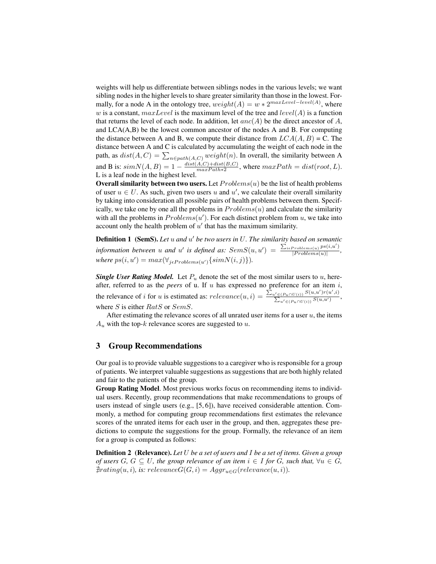weights will help us differentiate between siblings nodes in the various levels; we want sibling nodes in the higher levels to share greater similarity than those in the lowest. Formally, for a node A in the ontology tree,  $weight(A) = w * 2^{maxLevel-level(A)}$ , where w is a constant,  $maxLevel$  is the maximum level of the tree and  $level(A)$  is a function that returns the level of each node. In addition, let  $anc(A)$  be the direct ancestor of A, and LCA(A,B) be the lowest common ancestor of the nodes A and B. For computing the distance between A and B, we compute their distance from  $LCA(A, B) = C$ . The distance between A and C is calculated by accumulating the weight of each node in the path, as  $dist(A, C) = \sum_{n \in path(A, C)} weight(n)$ . In overall, the similarity between A and B is:  $simN(A, B) = 1 - \frac{dist(A, C) + dist(B, C)}{maxPath * 2}$  $\frac{A(C)+dist(B(C))}{maxPath*2}$ , where  $maxPath = dist(root, L)$ . L is a leaf node in the highest level.

Overall similarity between two users. Let  $Problems(u)$  be the list of health problems of user  $u \in U$ . As such, given two users u and u', we calculate their overall similarity by taking into consideration all possible pairs of health problems between them. Specifically, we take one by one all the problems in  $Problems(u)$  and calculate the similarity with all the problems in  $Problems(u')$ . For each distinct problem from u, we take into account only the health problem of  $u'$  that has the maximum similarity.

**Definition 1** (SemS). Let u and u' be two users in U. The similarity based on semantic *information between* u and u' is defined as:  $SemS(u, u') = \frac{\sum_{i \in Problem s(u)} ps(i, u')}{|Problem s(u)|}$  $\frac{P_{roblems(u)}P^{s(t,u)}}{|Problems(u)|},$ where  $ps(i, u') = max(\forall_{j \in Problems(u')} \{sim(i, j)\}).$ 

*Single User Rating Model.* Let  $P_u$  denote the set of the most similar users to u, hereafter, referred to as the *peers* of u. If u has expressed no preference for an item i, the relevance of i for u is estimated as:  $relevance(u, i) = \frac{\sum_{u' \in (P_u \cap U(i))} S(u, u')r(u', i)}{\sum_{u' \in (P_u \cap U(i))} S(u, u')r(u', i)}$  $\frac{\sum_{u'\in (P_u\cap U(i))} S(u,u')\cdot (u',v')}{\sum_{u'\in (P_u\cap U(i))} S(u,u')},$ where S is either RatS or SemS.

After estimating the relevance scores of all unrated user items for a user  $u$ , the items  $A_u$  with the top-k relevance scores are suggested to u.

### 3 Group Recommendations

Our goal is to provide valuable suggestions to a caregiver who is responsible for a group of patients. We interpret valuable suggestions as suggestions that are both highly related and fair to the patients of the group.

Group Rating Model. Most previous works focus on recommending items to individual users. Recently, group recommendations that make recommendations to groups of users instead of single users (e.g.,  $[5, 6]$ ), have received considerable attention. Commonly, a method for computing group recommendations first estimates the relevance scores of the unrated items for each user in the group, and then, aggregates these predictions to compute the suggestions for the group. Formally, the relevance of an item for a group is computed as follows:

Definition 2 (Relevance). *Let* U *be a set of users and* I *be a set of items. Given a group of users*  $G, G \subseteq U$ *, the group relevance of an item*  $i \in I$  *for*  $G$ *, such that,*  $\forall u \in G$ *,*  $\exists rating(u, i)$ *, is:*  $relevanceG(G, i) = Aggr_{u \in G}(relevance(u, i)).$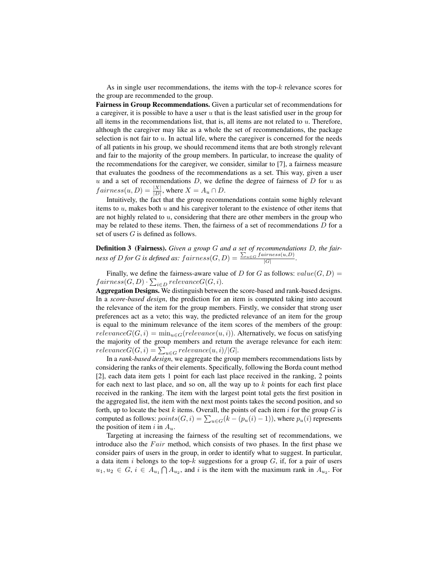As in single user recommendations, the items with the top-k relevance scores for the group are recommended to the group.

Fairness in Group Recommendations. Given a particular set of recommendations for a caregiver, it is possible to have a user  $u$  that is the least satisfied user in the group for all items in the recommendations list, that is, all items are not related to  $u$ . Therefore, although the caregiver may like as a whole the set of recommendations, the package selection is not fair to  $u$ . In actual life, where the caregiver is concerned for the needs of all patients in his group, we should recommend items that are both strongly relevant and fair to the majority of the group members. In particular, to increase the quality of the recommendations for the caregiver, we consider, similar to [7], a fairness measure that evaluates the goodness of the recommendations as a set. This way, given a user  $u$  and a set of recommendations  $D$ , we define the degree of fairness of  $D$  for  $u$  as  $fairness(u, D) = \frac{|X|}{|D|}$ , where  $X = A_u \cap D$ .

Intuitively, the fact that the group recommendations contain some highly relevant items to  $u$ , makes both  $u$  and his caregiver tolerant to the existence of other items that are not highly related to  $u$ , considering that there are other members in the group who may be related to these items. Then, the fairness of a set of recommendations  $D$  for a set of users G is defined as follows.

Definition 3 (Fairness). *Given a group* G *and a set of recommendations* D*, the fairness of* D *for* G *is defined as:*  $fairness(G, D) = \frac{\sum_{u \in G} fairness(u, D)}{|G|}$ .

Finally, we define the fairness-aware value of D for G as follows:  $value(G, D)$  =  $fairness(G, D) \cdot \sum_{i \in D} relevanceG(G, i).$ 

Aggregation Designs. We distinguish between the score-based and rank-based designs. In a *score-based design*, the prediction for an item is computed taking into account the relevance of the item for the group members. Firstly, we consider that strong user preferences act as a veto; this way, the predicted relevance of an item for the group is equal to the minimum relevance of the item scores of the members of the group:  $relevanceG(G, i) = min_{u \in G}(relevance(u, i))$ . Alternatively, we focus on satisfying the majority of the group members and return the average relevance for each item:  $relevanceG(G, i) = \sum_{u \in G} relevance(u, i) / |G|.$ 

In a *rank-based design*, we aggregate the group members recommendations lists by considering the ranks of their elements. Specifically, following the Borda count method [2], each data item gets 1 point for each last place received in the ranking, 2 points for each next to last place, and so on, all the way up to  $k$  points for each first place received in the ranking. The item with the largest point total gets the first position in the aggregated list, the item with the next most points takes the second position, and so forth, up to locate the best k items. Overall, the points of each item i for the group  $G$  is computed as follows:  $points(G, i) = \sum_{u \in G} (k - (p_u(i) - 1))$ , where  $p_u(i)$  represents the position of item i in  $A_u$ .

Targeting at increasing the fairness of the resulting set of recommendations, we introduce also the  $Fair$  method, which consists of two phases. In the first phase we consider pairs of users in the group, in order to identify what to suggest. In particular, a data item i belongs to the top- $k$  suggestions for a group  $G$ , if, for a pair of users  $u_1, u_2 \in G$ ,  $i \in A_{u_1} \cap A_{u_2}$ , and i is the item with the maximum rank in  $A_{u_2}$ . For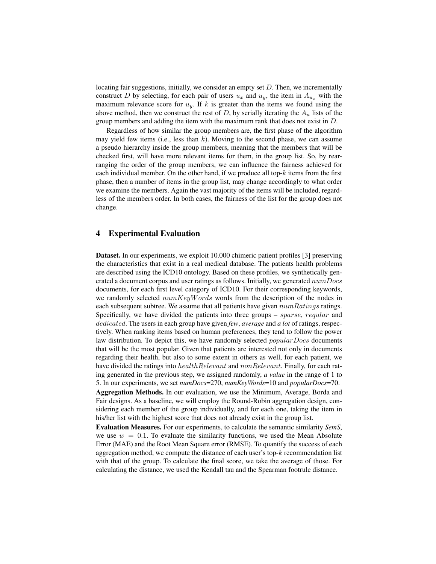locating fair suggestions, initially, we consider an empty set  $D$ . Then, we incrementally construct D by selecting, for each pair of users  $u_x$  and  $u_y$ , the item in  $A_{u_x}$  with the maximum relevance score for  $u_y$ . If k is greater than the items we found using the above method, then we construct the rest of  $D$ , by serially iterating the  $A_u$  lists of the group members and adding the item with the maximum rank that does not exist in D.

Regardless of how similar the group members are, the first phase of the algorithm may yield few items (i.e., less than  $k$ ). Moving to the second phase, we can assume a pseudo hierarchy inside the group members, meaning that the members that will be checked first, will have more relevant items for them, in the group list. So, by rearranging the order of the group members, we can influence the fairness achieved for each individual member. On the other hand, if we produce all top- $k$  items from the first phase, then a number of items in the group list, may change accordingly to what order we examine the members. Again the vast majority of the items will be included, regardless of the members order. In both cases, the fairness of the list for the group does not change.

## 4 Experimental Evaluation

Dataset. In our experiments, we exploit 10.000 chimeric patient profiles [3] preserving the characteristics that exist in a real medical database. The patients health problems are described using the ICD10 ontology. Based on these profiles, we synthetically generated a document corpus and user ratings as follows. Initially, we generated  $numDocs$ documents, for each first level category of ICD10. For their corresponding keywords, we randomly selected  $numKeyWords$  words from the description of the nodes in each subsequent subtree. We assume that all patients have given  $numRatings$  ratings. Specifically, we have divided the patients into three groups – sparse, reqular and dedicated. The users in each group have given *few*, *average* and *a lot* of ratings, respectively. When ranking items based on human preferences, they tend to follow the power law distribution. To depict this, we have randomly selected  $popularDocs$  documents that will be the most popular. Given that patients are interested not only in documents regarding their health, but also to some extent in others as well, for each patient, we have divided the ratings into *healthRelevant* and *nonRelevant*. Finally, for each rating generated in the previous step, we assigned randomly, *a value* in the range of 1 to 5. In our experiments, we set *numDocs*=270, *numKeyWords*=10 and *popularDocs*=70.

Aggregation Methods. In our evaluation, we use the Minimum, Average, Borda and Fair designs. As a baseline, we will employ the Round-Robin aggregation design, considering each member of the group individually, and for each one, taking the item in his/her list with the highest score that does not already exist in the group list.

Evaluation Measures. For our experiments, to calculate the semantic similarity *SemS*, we use  $w = 0.1$ . To evaluate the similarity functions, we used the Mean Absolute Error (MAE) and the Root Mean Square error (RMSE). To quantify the success of each aggregation method, we compute the distance of each user's top- $k$  recommendation list with that of the group. To calculate the final score, we take the average of those. For calculating the distance, we used the Kendall tau and the Spearman footrule distance.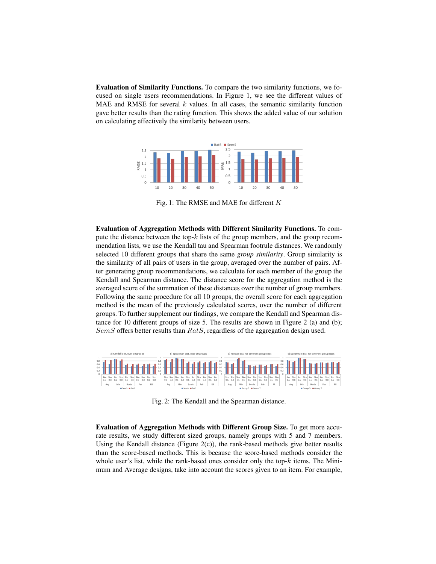Evaluation of Similarity Functions. To compare the two similarity functions, we focused on single users recommendations. In Figure 1, we see the different values of MAE and RMSE for several  $k$  values. In all cases, the semantic similarity function gave better results than the rating function. This shows the added value of our solution on calculating effectively the similarity between users.



Fig. 1: The RMSE and MAE for different K

Evaluation of Aggregation Methods with Different Similarity Functions. To compute the distance between the top- $k$  lists of the group members, and the group recommendation lists, we use the Kendall tau and Spearman footrule distances. We randomly selected 10 different groups that share the same *group similarity*. Group similarity is the similarity of all pairs of users in the group, averaged over the number of pairs. After generating group recommendations, we calculate for each member of the group the Kendall and Spearman distance. The distance score for the aggregation method is the averaged score of the summation of these distances over the number of group members. Following the same procedure for all 10 groups, the overall score for each aggregation method is the mean of the previously calculated scores, over the number of different groups. To further supplement our findings, we compare the Kendall and Spearman distance for 10 different groups of size 5. The results are shown in Figure 2 (a) and (b); SemS offers better results than RatS, regardless of the aggregation design used.



Fig. 2: The Kendall and the Spearman distance.

Evaluation of Aggregation Methods with Different Group Size. To get more accurate results, we study different sized groups, namely groups with 5 and 7 members. Using the Kendall distance (Figure  $2(c)$ ), the rank-based methods give better results than the score-based methods. This is because the score-based methods consider the whole user's list, while the rank-based ones consider only the top- $k$  items. The Minimum and Average designs, take into account the scores given to an item. For example,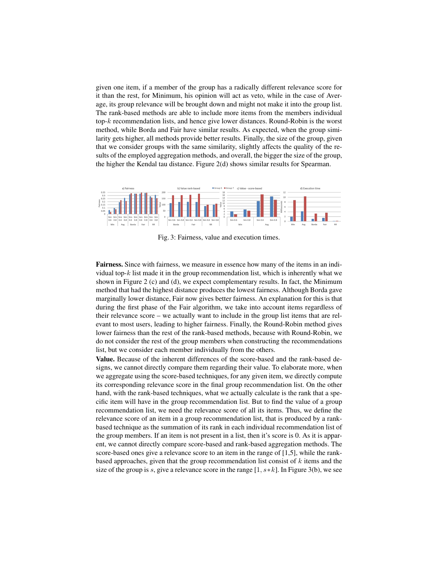given one item, if a member of the group has a radically different relevance score for it than the rest, for Minimum, his opinion will act as veto, while in the case of Average, its group relevance will be brought down and might not make it into the group list. The rank-based methods are able to include more items from the members individual top-k recommendation lists, and hence give lower distances. Round-Robin is the worst method, while Borda and Fair have similar results. As expected, when the group similarity gets higher, all methods provide better results. Finally, the size of the group, given that we consider groups with the same similarity, slightly affects the quality of the results of the employed aggregation methods, and overall, the bigger the size of the group, the higher the Kendal tau distance. Figure 2(d) shows similar results for Spearman.



Fig. 3: Fairness, value and execution times.

Fairness. Since with fairness, we measure in essence how many of the items in an individual top- $k$  list made it in the group recommendation list, which is inherently what we shown in Figure 2 (c) and (d), we expect complementary results. In fact, the Minimum method that had the highest distance produces the lowest fairness. Although Borda gave marginally lower distance, Fair now gives better fairness. An explanation for this is that during the first phase of the Fair algorithm, we take into account items regardless of their relevance score – we actually want to include in the group list items that are relevant to most users, leading to higher fairness. Finally, the Round-Robin method gives lower fairness than the rest of the rank-based methods, because with Round-Robin, we do not consider the rest of the group members when constructing the recommendations list, but we consider each member individually from the others.

Value. Because of the inherent differences of the score-based and the rank-based designs, we cannot directly compare them regarding their value. To elaborate more, when we aggregate using the score-based techniques, for any given item, we directly compute its corresponding relevance score in the final group recommendation list. On the other hand, with the rank-based techniques, what we actually calculate is the rank that a specific item will have in the group recommendation list. But to find the value of a group recommendation list, we need the relevance score of all its items. Thus, we define the relevance score of an item in a group recommendation list, that is produced by a rankbased technique as the summation of its rank in each individual recommendation list of the group members. If an item is not present in a list, then it's score is 0. As it is apparent, we cannot directly compare score-based and rank-based aggregation methods. The score-based ones give a relevance score to an item in the range of [1,5], while the rankbased approaches, given that the group recommendation list consist of  $k$  items and the size of the group is s, give a relevance score in the range  $[1, s*k]$ . In Figure 3(b), we see